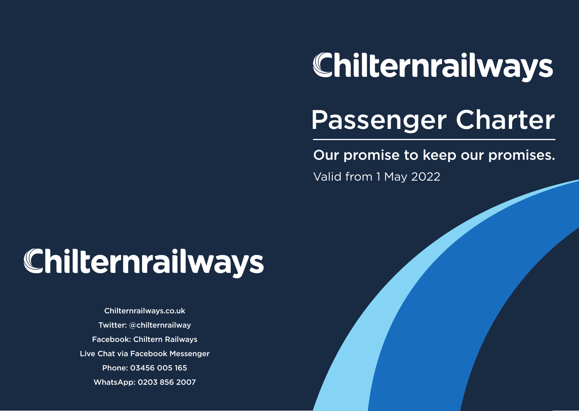# Chilternrailways

## Passenger Charter

Our promise to keep our promises.

Valid from 1 May 2022

## Chilternrailways

[Chilternrailways.co.uk](https://Chilternrailways.co.uk) Twitter: @chilternrailway Facebook: Chiltern Railways Live Chat via Facebook Messenger Phone: 03456 005 165 WhatsApp: 0203 856 2007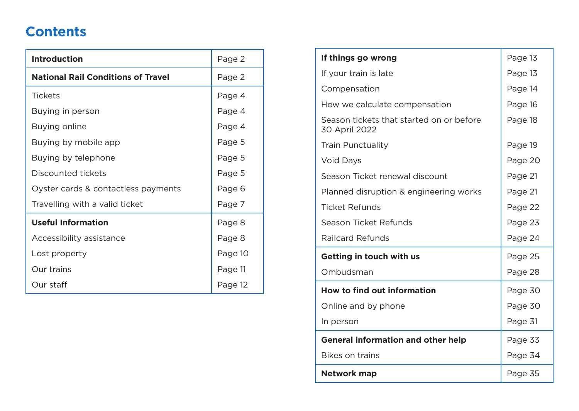## **Contents**

| <b>Introduction</b>                       | Page 2  |
|-------------------------------------------|---------|
| <b>National Rail Conditions of Travel</b> | Page 2  |
| <b>Tickets</b>                            | Page 4  |
| Buying in person                          | Page 4  |
| Buying online                             | Page 4  |
| Buying by mobile app                      | Page 5  |
| Buying by telephone                       | Page 5  |
| Discounted tickets                        | Page 5  |
| Oyster cards & contactless payments       | Page 6  |
| Travelling with a valid ticket            | Page 7  |
| <b>Useful Information</b>                 | Page 8  |
| Accessibility assistance                  | Page 8  |
| Lost property                             | Page 10 |
| Our trains                                | Page 11 |
| Our staff                                 | Page 12 |

| If things go wrong                                        | Page 13 |
|-----------------------------------------------------------|---------|
| If your train is late                                     | Page 13 |
| Compensation                                              | Page 14 |
| How we calculate compensation                             | Page 16 |
| Season tickets that started on or before<br>30 April 2022 | Page 18 |
| <b>Train Punctuality</b>                                  | Page 19 |
| <b>Void Days</b>                                          | Page 20 |
| Season Ticket renewal discount                            | Page 21 |
| Planned disruption & engineering works                    | Page 21 |
| <b>Ticket Refunds</b>                                     | Page 22 |
| Season Ticket Refunds                                     | Page 23 |
| <b>Railcard Refunds</b>                                   | Page 24 |
| Getting in touch with us                                  | Page 25 |
| Ombudsman                                                 | Page 28 |
| <b>How to find out information</b>                        | Page 30 |
| Online and by phone                                       | Page 30 |
| In person                                                 | Page 31 |
| <b>General information and other help</b>                 | Page 33 |
| <b>Bikes on trains</b>                                    | Page 34 |
| <b>Network map</b>                                        | Page 35 |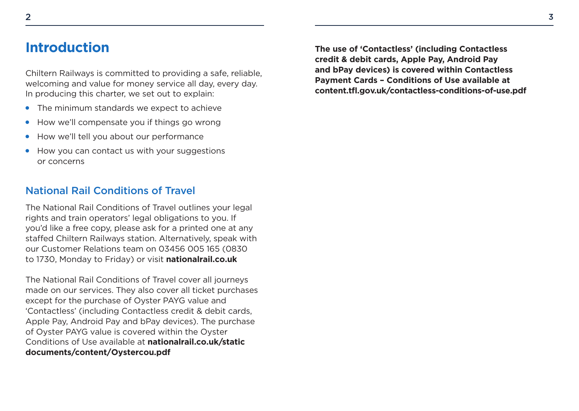<span id="page-2-0"></span>Chiltern Railways is committed to providing a safe, reliable, welcoming and value for money service all day, every day. In producing this charter, we set out to explain:

- The minimum standards we expect to achieve
- How we'll compensate you if things go wrong ●
- How we'll tell you about our performance  $\bullet$
- How you can contact us with your suggestions or concerns ●

#### National Rail Conditions of Travel

The National Rail Conditions of Travel outlines your legal rights and train operators' legal obligations to you. If you'd like a free copy, please ask for a printed one at any stafed Chiltern Railways station. Alternatively, speak with our Customer Relations team on 03456 005 165 (0830 to 1730, Monday to Friday) or visit **[nationalrail.co.uk](www.nationalrail.co.uk)** 

The National Rail Conditions of Travel cover all journeys made on our services. They also cover all ticket purchases except for the purchase of Oyster PAYG value and 'Contactless' (including Contactless credit & debit cards, Apple Pay, Android Pay and bPay devices). The purchase of Oyster PAYG value is covered within the Oyster Conditions of Use available at **nationalrail.co.uk/static [documents/content/Oystercou.pdf](https://www.nationalrail.co.uk/static/documents/content/Oystercou.pdf)** 

**The use of 'Contactless' (including Contactless credit & debit cards, Apple Pay, Android Pay and bPay devices) is covered within Contactless Payment Cards – Conditions of Use available at [content.tf.gov.uk/contactless-conditions-of-use.pdf](http://content.tfl.gov.uk/contactless-conditions-of-use.pdf)**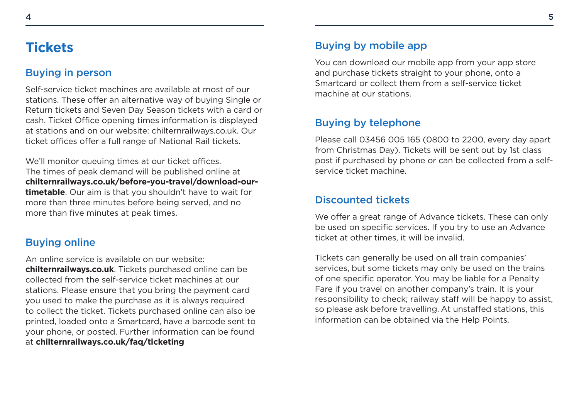### <span id="page-3-0"></span>**Tickets**

#### Buying in person

Self-service ticket machines are available at most of our stations. These offer an alternative way of buying Single or Return tickets and Seven Day Season tickets with a card or cash. Ticket Office opening times information is displayed at stations and on our website: [chilternrailways.co.uk](https://chilternrailways.co.uk). Our ticket offices offer a full range of National Rail tickets.

We'll monitor queuing times at our ticket offices. The times of peak demand will be published online at **[chilternrailways.co.uk/before-you-travel/download-our](www.chilternrailways.co.uk/before-you-travel/download-our-timetable)timetable**. Our aim is that you shouldn't have to wait for more than three minutes before being served, and no more than five minutes at peak times.

#### Buying online

An online service is available on our website: **[chilternrailways.co.uk](https://chilternrailways.co.uk)**. Tickets purchased online can be collected from the self-service ticket machines at our stations. Please ensure that you bring the payment card you used to make the purchase as it is always required to collect the ticket. Tickets purchased online can also be printed, loaded onto a Smartcard, have a barcode sent to your phone, or posted. Further information can be found at **[chilternrailways.co.uk/faq/ticketing](www.chilternrailways.co.uk/faq/ticketing)** 

#### Buying by mobile app

You can download our mobile app from your app store and purchase tickets straight to your phone, onto a Smartcard or collect them from a self-service ticket machine at our stations.

#### Buying by telephone

Please call 03456 005 165 (0800 to 2200, every day apart from Christmas Day). Tickets will be sent out by 1st class post if purchased by phone or can be collected from a selfservice ticket machine.

#### Discounted tickets

We offer a great range of Advance tickets. These can only be used on specific services. If you try to use an Advance ticket at other times, it will be invalid.

Tickets can generally be used on all train companies' services, but some tickets may only be used on the trains of one specific operator. You may be liable for a Penalty Fare if you travel on another company's train. It is your responsibility to check; railway staff will be happy to assist, so please ask before travelling. At unstaffed stations, this information can be obtained via the Help Points.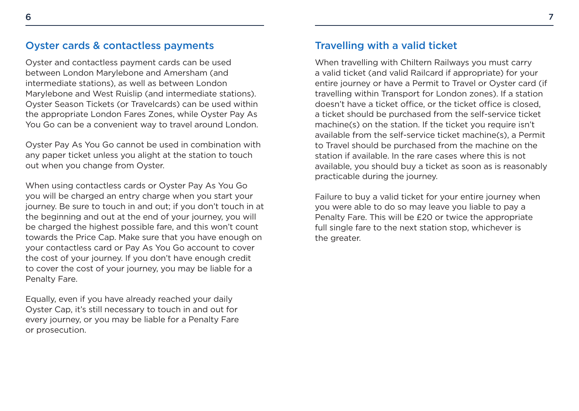#### <span id="page-4-0"></span>Oyster cards & contactless payments

Oyster and contactless payment cards can be used between London Marylebone and Amersham (and intermediate stations), as well as between London Marylebone and West Ruislip (and intermediate stations). Oyster Season Tickets (or Travelcards) can be used within the appropriate London Fares Zones, while Oyster Pay As You Go can be a convenient way to travel around London.

Oyster Pay As You Go cannot be used in combination with any paper ticket unless you alight at the station to touch out when you change from Oyster.

When using contactless cards or Oyster Pay As You Go you will be charged an entry charge when you start your journey. Be sure to touch in and out; if you don't touch in at the beginning and out at the end of your journey, you will be charged the highest possible fare, and this won't count towards the Price Cap. Make sure that you have enough on your contactless card or Pay As You Go account to cover the cost of your journey. If you don't have enough credit to cover the cost of your journey, you may be liable for a Penalty Fare.

Equally, even if you have already reached your daily Oyster Cap, it's still necessary to touch in and out for every journey, or you may be liable for a Penalty Fare or prosecution.

#### Travelling with a valid ticket

When travelling with Chiltern Railways you must carry a valid ticket (and valid Railcard if appropriate) for your entire journey or have a Permit to Travel or Oyster card (if travelling within Transport for London zones). If a station doesn't have a ticket office, or the ticket office is closed, a ticket should be purchased from the self-service ticket machine(s) on the station. If the ticket you require isn't available from the self-service ticket machine(s), a Permit to Travel should be purchased from the machine on the station if available. In the rare cases where this is not available, you should buy a ticket as soon as is reasonably practicable during the journey.

Failure to buy a valid ticket for your entire journey when you were able to do so may leave you liable to pay a Penalty Fare. This will be £20 or twice the appropriate full single fare to the next station stop, whichever is the greater.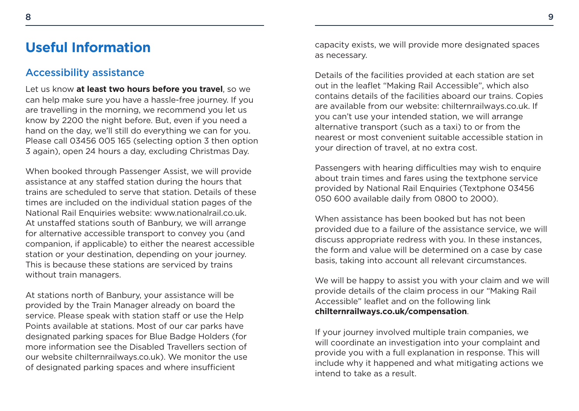### <span id="page-5-0"></span>**Useful Information**

#### Accessibility assistance

Let us know **at least two hours before you travel**, so we can help make sure you have a hassle-free journey. If you are travelling in the morning, we recommend you let us know by 2200 the night before. But, even if you need a hand on the day, we'll still do everything we can for you. Please call 03456 005 165 (selecting option 3 then option 3 again), open 24 hours a day, excluding Christmas Day.

When booked through Passenger Assist, we will provide assistance at any stafed station during the hours that trains are scheduled to serve that station. Details of these times are included on the individual station pages of the National Rail Enquiries website:<www.nationalrail.co.uk>. At unstafed stations south of Banbury, we will arrange for alternative accessible transport to convey you (and companion, if applicable) to either the nearest accessible station or your destination, depending on your journey. This is because these stations are serviced by trains without train managers.

At stations north of Banbury, your assistance will be provided by the Train Manager already on board the service. Please speak with station staff or use the Help Points available at stations. Most of our car parks have designated parking spaces for Blue Badge Holders (for more information see the Disabled Travellers section of our website [chilternrailways.co.uk](https://chilternrailways.co.uk)). We monitor the use of designated parking spaces and where insufficient

capacity exists, we will provide more designated spaces as necessary.

Details of the facilities provided at each station are set out in the leaflet "Making Rail Accessible", which also contains details of the facilities aboard our trains. Copies are available from our website: [chilternrailways.co.uk](https://chilternrailways.co.uk). If you can't use your intended station, we will arrange alternative transport (such as a taxi) to or from the nearest or most convenient suitable accessible station in your direction of travel, at no extra cost.

Passengers with hearing difficulties may wish to enquire about train times and fares using the textphone service provided by National Rail Enquiries (Textphone 03456 050 600 available daily from 0800 to 2000).

When assistance has been booked but has not been provided due to a failure of the assistance service, we will discuss appropriate redress with you. In these instances, the form and value will be determined on a case by case basis, taking into account all relevant circumstances.

We will be happy to assist you with your claim and we will provide details of the claim process in our "Making Rail Accessible" leaflet and on the following link **[chilternrailways.co.uk/compensation](www.chilternrailways.co.uk/compensation)**.

If your journey involved multiple train companies, we will coordinate an investigation into your complaint and provide you with a full explanation in response. This will include why it happened and what mitigating actions we intend to take as a result.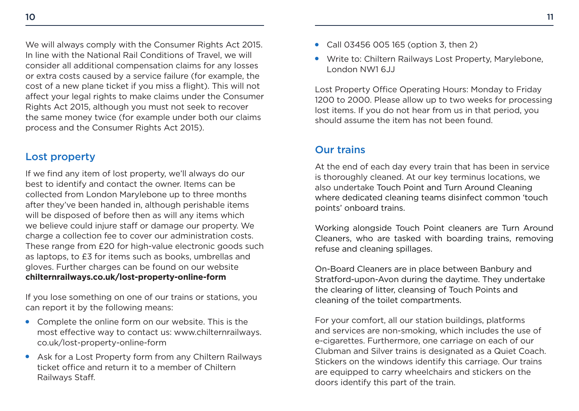<span id="page-6-0"></span>We will always comply with the Consumer Rights Act 2015. In line with the National Rail Conditions of Travel, we will consider all additional compensation claims for any losses or extra costs caused by a service failure (for example, the cost of a new plane ticket if you miss a fight). This will not afect your legal rights to make claims under the Consumer Rights Act 2015, although you must not seek to recover the same money twice (for example under both our claims process and the Consumer Rights Act 2015).

#### Lost property

If we find any item of lost property, we'll always do our best to identify and contact the owner. Items can be collected from London Marylebone up to three months after they've been handed in, although perishable items will be disposed of before then as will any items which we believe could injure staff or damage our property. We charge a collection fee to cover our administration costs. These range from £20 for high-value electronic goods such as laptops, to £3 for items such as books, umbrellas and gloves. Further charges can be found on our website **[chilternrailways.co.uk/lost-property-online-form](www.chilternrailways.co.uk/lost-property-online-form)** 

If you lose something on one of our trains or stations, you can report it by the following means:

- Complete the online form on our website. This is the [most effective way to contact us: www.chilternrailways.](www.chilternrailways.co.uk/lost-property-online-form) co.uk/lost-property-online-form
- Ask for a Lost Property form from any Chiltern Railways ticket office and return it to a member of Chiltern Railways Staf.
- Call 03456 005 165 (option 3, then 2)
- Write to: Chiltern Railways Lost Property, Marylebone, London NW1 6JJ

Lost Property Office Operating Hours: Monday to Friday 1200 to 2000. Please allow up to two weeks for processing lost items. If you do not hear from us in that period, you should assume the item has not been found.

#### Our trains

At the end of each day every train that has been in service is thoroughly cleaned. At our key terminus locations, we also undertake Touch Point and Turn Around Cleaning where dedicated cleaning teams disinfect common 'touch points' onboard trains.

Working alongside Touch Point cleaners are Turn Around Cleaners, who are tasked with boarding trains, removing refuse and cleaning spillages.

On-Board Cleaners are in place between Banbury and Stratford-upon-Avon during the daytime. They undertake the clearing of litter, cleansing of Touch Points and cleaning of the toilet compartments.

For your comfort, all our station buildings, platforms and services are non-smoking, which includes the use of e-cigarettes. Furthermore, one carriage on each of our Clubman and Silver trains is designated as a Quiet Coach. Stickers on the windows identify this carriage. Our trains are equipped to carry wheelchairs and stickers on the doors identify this part of the train.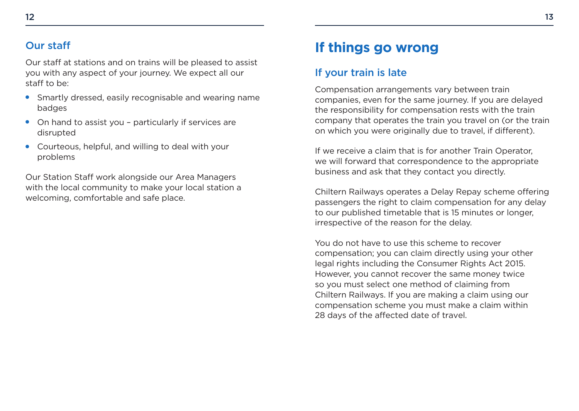#### <span id="page-7-0"></span>**Our staff**

Our staff at stations and on trains will be pleased to assist you with any aspect of your journey. We expect all our staff to be:

- Smartly dressed, easily recognisable and wearing name badges
- On hand to assist you particularly if services are disrupted
- Courteous, helpful, and willing to deal with your problems

Our Station Staff work alongside our Area Managers with the local community to make your local station a welcoming, comfortable and safe place.

## **If things go wrong**

#### If your train is late

Compensation arrangements vary between train companies, even for the same journey. If you are delayed the responsibility for compensation rests with the train company that operates the train you travel on (or the train on which you were originally due to travel, if diferent).

If we receive a claim that is for another Train Operator, we will forward that correspondence to the appropriate business and ask that they contact you directly.

Chiltern Railways operates a Delay Repay scheme offering passengers the right to claim compensation for any delay to our published timetable that is 15 minutes or longer, irrespective of the reason for the delay.

You do not have to use this scheme to recover compensation; you can claim directly using your other legal rights including the Consumer Rights Act 2015. However, you cannot recover the same money twice so you must select one method of claiming from Chiltern Railways. If you are making a claim using our compensation scheme you must make a claim within 28 days of the affected date of travel.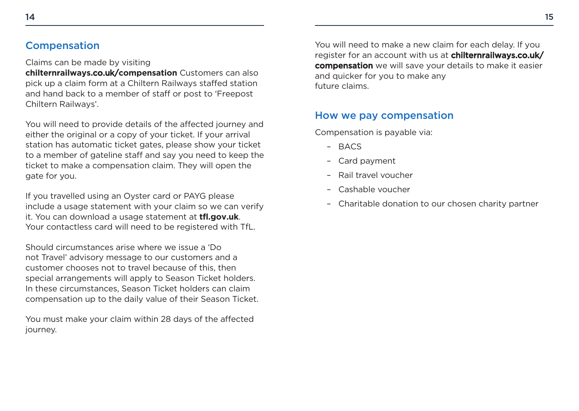#### <span id="page-8-0"></span>Compensation

Claims can be made by visiting

**[chilternrailways.](chilternrailways.co.uk/compensation)**co.uk/**compensation** Customers can also pick up a claim form at a Chiltern Railways staffed station and hand back to a member of staff or post to 'Freepost Chiltern Railways'.

You will need to provide details of the affected journey and either the original or a copy of your ticket. If your arrival station has automatic ticket gates, please show your ticket to a member of gateline staff and say you need to keep the ticket to make a compensation claim. They will open the gate for you.

If you travelled using an Oyster card or PAYG please include a usage statement with your claim so we can verify it. You can download a usage statement at **<tfl.gov.uk>**. Your contactless card will need to be registered with TfL.

Should circumstances arise where we issue a 'Do not Travel' advisory message to our customers and a customer chooses not to travel because of this, then special arrangements will apply to Season Ticket holders. In these circumstances, Season Ticket holders can claim compensation up to the daily value of their Season Ticket.

You must make your claim within 28 days of the affected journey.

You will need to make a new claim for each delay. If you [register for an account with us at](chilternrailways.co.uk/compensation) **chilternrailways.co.uk/** compensation we will save your details to make it easier and quicker for you to make any future claims.

#### How we pay compensation

Compensation is payable via:

- BACS –
- Card payment –
- Rail travel voucher –
- Cashable voucher –
- Charitable donation to our chosen charity partner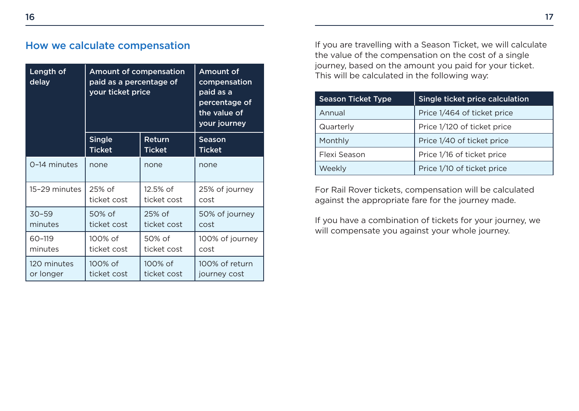#### <span id="page-9-0"></span>How we calculate compensation

| Length of<br>delay | <b>Amount of compensation</b><br>paid as a percentage of<br>your ticket price |               | <b>Amount of</b><br>compensation<br>paid as a<br>percentage of<br>the value of<br>your journey |
|--------------------|-------------------------------------------------------------------------------|---------------|------------------------------------------------------------------------------------------------|
|                    | <b>Single</b>                                                                 | Return        | Season                                                                                         |
|                    | <b>Ticket</b>                                                                 | <b>Ticket</b> | <b>Ticket</b>                                                                                  |
| 0-14 minutes       | none                                                                          | none          | none                                                                                           |
| 15-29 minutes      | 25% of                                                                        | 12.5% of      | 25% of journey                                                                                 |
|                    | ticket cost                                                                   | ticket cost   | cost                                                                                           |
| $30 - 59$          | 50% of                                                                        | $25%$ of      | 50% of journey                                                                                 |
| minutes            | ticket cost                                                                   | ticket cost   | cost                                                                                           |
| 60-119             | 100% of                                                                       | 50% of        | 100% of journey                                                                                |
| minutes            | ticket cost                                                                   | ticket cost   | cost                                                                                           |
| 120 minutes        | 100% of                                                                       | 100% of       | 100% of return                                                                                 |
| or longer          | ticket cost                                                                   | ticket cost   | journey cost                                                                                   |

If you are travelling with a Season Ticket, we will calculate the value of the compensation on the cost of a single journey, based on the amount you paid for your ticket. This will be calculated in the following way:

| Single ticket price calculation<br><b>Season Ticket Type</b> |                             |
|--------------------------------------------------------------|-----------------------------|
| Annual                                                       | Price 1/464 of ticket price |
| Quarterly                                                    | Price 1/120 of ticket price |
| Monthly                                                      | Price 1/40 of ticket price  |
| Flexi Season                                                 | Price 1/16 of ticket price  |
| Weekly                                                       | Price 1/10 of ticket price  |

For Rail Rover tickets, compensation will be calculated against the appropriate fare for the journey made.

If you have a combination of tickets for your journey, we will compensate you against your whole journey.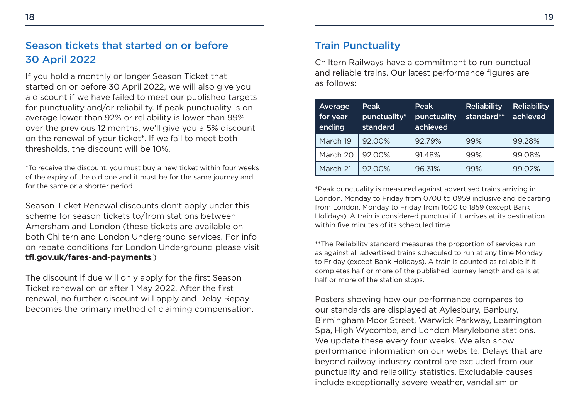#### <span id="page-10-0"></span>Season tickets that started on or before 30 April 2022

If you hold a monthly or longer Season Ticket that started on or before 30 April 2022, we will also give you a discount if we have failed to meet our published targets for punctuality and/or reliability. If peak punctuality is on average lower than 92% or reliability is lower than 99% over the previous 12 months, we'll give you a 5% discount on the renewal of your ticket\*. If we fail to meet both thresholds, the discount will be 10%.

\*To receive the discount, you must buy a new ticket within four weeks of the expiry of the old one and it must be for the same journey and for the same or a shorter period.

Season Ticket Renewal discounts don't apply under this scheme for season tickets to/from stations between Amersham and London (these tickets are available on both Chiltern and London Underground services. For info on rebate conditions for London Underground please visit **[tf.gov.uk/fares-and-payments](www.tfl.gov.uk/fares-and-payments)**.)

The discount if due will only apply for the first Season Ticket renewal on or after 1 May 2022. After the frst renewal, no further discount will apply and Delay Repay becomes the primary method of claiming compensation. Chiltern Railways have a commitment to run punctual and reliable trains. Our latest performance figures are as follows:

| Average<br>for year<br>ending | Peak<br>punctuality*<br>standard | Peak <sup>'</sup><br>punctuality<br>achieved | <b>Reliability</b><br>standard** | <b>Reliability</b><br>achieved |
|-------------------------------|----------------------------------|----------------------------------------------|----------------------------------|--------------------------------|
| March 19                      | 92.00%                           | 92.79%                                       | 99%                              | 99.28%                         |
| March 20                      | 92.00%                           | 91.48%                                       | 99%                              | 99.08%                         |
| March 21                      | 92.00%                           | 96.31%                                       | 99%                              | 99.02%                         |

\*Peak punctuality is measured against advertised trains arriving in London, Monday to Friday from 0700 to 0959 inclusive and departing from London, Monday to Friday from 1600 to 1859 (except Bank Holidays). A train is considered punctual if it arrives at its destination within five minutes of its scheduled time.

\*\*The Reliability standard measures the proportion of services run as against all advertised trains scheduled to run at any time Monday to Friday (except Bank Holidays). A train is counted as reliable if it completes half or more of the published journey length and calls at half or more of the station stops.

Posters showing how our performance compares to our standards are displayed at Aylesbury, Banbury, Birmingham Moor Street, Warwick Parkway, Leamington Spa, High Wycombe, and London Marylebone stations. We update these every four weeks. We also show performance information on our website. Delays that are beyond railway industry control are excluded from our punctuality and reliability statistics. Excludable causes include exceptionally severe weather, vandalism or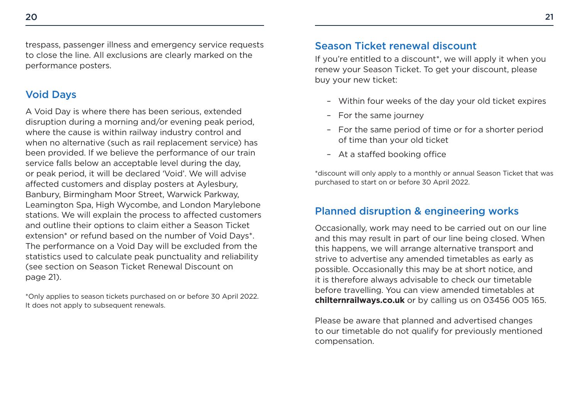<span id="page-11-0"></span>trespass, passenger illness and emergency service requests to close the line. All exclusions are clearly marked on the performance posters.

#### Void Days

A Void Day is where there has been serious, extended disruption during a morning and/or evening peak period, where the cause is within railway industry control and when no alternative (such as rail replacement service) has been provided. If we believe the performance of our train service falls below an acceptable level during the day, or peak period, it will be declared 'Void'. We will advise afected customers and display posters at Aylesbury, Banbury, Birmingham Moor Street, Warwick Parkway, Leamington Spa, High Wycombe, and London Marylebone stations. We will explain the process to affected customers and outline their options to claim either a Season Ticket extension\* or refund based on the number of Void Days\*. The performance on a Void Day will be excluded from the statistics used to calculate peak punctuality and reliability (see section on Season Ticket Renewal Discount on page 21).

\*Only applies to season tickets purchased on or before 30 April 2022. It does not apply to subsequent renewals.

#### Season Ticket renewal discount

If you're entitled to a discount\*, we will apply it when you renew your Season Ticket. To get your discount, please buy your new ticket:

- Within four weeks of the day your old ticket expires –
- For the same journey
- For the same period of time or for a shorter period of time than your old ticket
- At a staffed booking office

\*discount will only apply to a monthly or annual Season Ticket that was purchased to start on or before 30 April 2022.

#### Planned disruption & engineering works

Occasionally, work may need to be carried out on our line and this may result in part of our line being closed. When this happens, we will arrange alternative transport and strive to advertise any amended timetables as early as possible. Occasionally this may be at short notice, and it is therefore always advisable to check our timetable before travelling. You can view amended timetables at **[chilternrailways.co.uk](www.chilternrailways.co.uk)** or by calling us on 03456 005 165.

Please be aware that planned and advertised changes to our timetable do not qualify for previously mentioned compensation.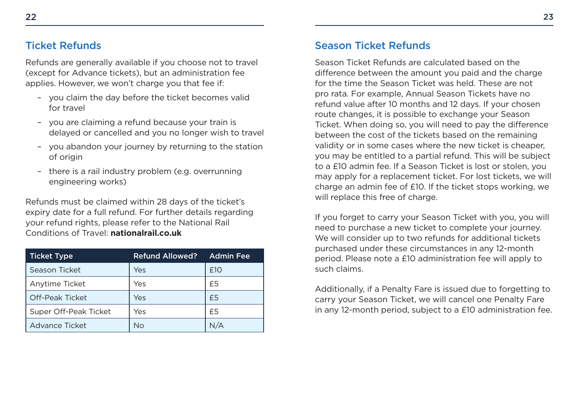#### <span id="page-12-0"></span>Ticket Refunds

Refunds are generally available if you choose not to travel (except for Advance tickets), but an administration fee applies. However, we won't charge you that fee if:

- you claim the day before the ticket becomes valid for travel
- you are claiming a refund because your train is delayed or cancelled and you no longer wish to travel
- you abandon your journey by returning to the station of origin
- there is a rail industry problem (e.g. overrunning engineering works)

Refunds must be claimed within 28 days of the ticket's expiry date for a full refund. For further details regarding your refund rights, please refer to the National Rail Conditions of Travel: **[nationalrail.co.uk](www.nationalrail.co.uk)** 

| <b>Ticket Type</b>     | <b>Refund Allowed?</b> | <b>Admin Fee</b> |
|------------------------|------------------------|------------------|
| Season Ticket          | Yes                    | £10              |
| Anytime Ticket         | Yes                    | £5               |
| <b>Off-Peak Ticket</b> | Yes                    | £5               |
| Super Off-Peak Ticket  | Yes                    | £5               |
| <b>Advance Ticket</b>  | No                     | N/A              |

#### Season Ticket Refunds

Season Ticket Refunds are calculated based on the diference between the amount you paid and the charge for the time the Season Ticket was held. These are not pro rata. For example, Annual Season Tickets have no refund value after 10 months and 12 days. If your chosen route changes, it is possible to exchange your Season Ticket. When doing so, you will need to pay the diference between the cost of the tickets based on the remaining validity or in some cases where the new ticket is cheaper, you may be entitled to a partial refund. This will be subject to a £10 admin fee. If a Season Ticket is lost or stolen, you may apply for a replacement ticket. For lost tickets, we will charge an admin fee of £10. If the ticket stops working, we will replace this free of charge.

If you forget to carry your Season Ticket with you, you will need to purchase a new ticket to complete your journey. We will consider up to two refunds for additional tickets purchased under these circumstances in any 12-month period. Please note a £10 administration fee will apply to such claims.

Additionally, if a Penalty Fare is issued due to forgetting to carry your Season Ticket, we will cancel one Penalty Fare in any 12-month period, subject to a £10 administration fee.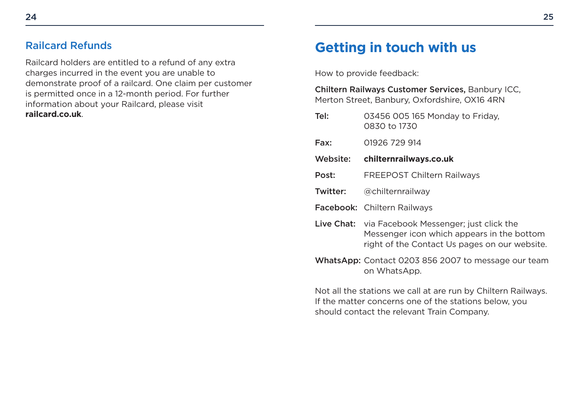#### <span id="page-13-0"></span>Railcard Refunds

Railcard holders are entitled to a refund of any extra charges incurred in the event you are unable to demonstrate proof of a railcard. One claim per customer is permitted once in a 12-month period. For further information about your Railcard, please visit **[railcard.co.uk](www.railcard.co.uk)**.

## **Getting in touch with us**

How to provide feedback:

| Chiltern Railways Customer Services, Banbury ICC,<br>Merton Street, Banbury, Oxfordshire, OX16 4RN                                                                   |                                                                                                                                       |
|----------------------------------------------------------------------------------------------------------------------------------------------------------------------|---------------------------------------------------------------------------------------------------------------------------------------|
| Tel:                                                                                                                                                                 | 03456 005 165 Monday to Friday,<br>0830 to 1730                                                                                       |
| Fax:                                                                                                                                                                 | 01926 729 914                                                                                                                         |
| Website:                                                                                                                                                             | chilternrailways.co.uk                                                                                                                |
| Post:                                                                                                                                                                | <b>FREEPOST Chiltern Railways</b>                                                                                                     |
| Twitter:                                                                                                                                                             | @chilternrailway                                                                                                                      |
|                                                                                                                                                                      | Facebook: Chiltern Railways                                                                                                           |
| Live Chat:                                                                                                                                                           | via Facebook Messenger; just click the<br>Messenger icon which appears in the bottom<br>right of the Contact Us pages on our website. |
|                                                                                                                                                                      | WhatsApp: Contact 0203 856 2007 to message our team<br>on WhatsApp.                                                                   |
| Not all the stations we call at are run by Chiltern Railways.<br>If the matter concerns one of the stations below, you<br>should contact the relevant Train Company. |                                                                                                                                       |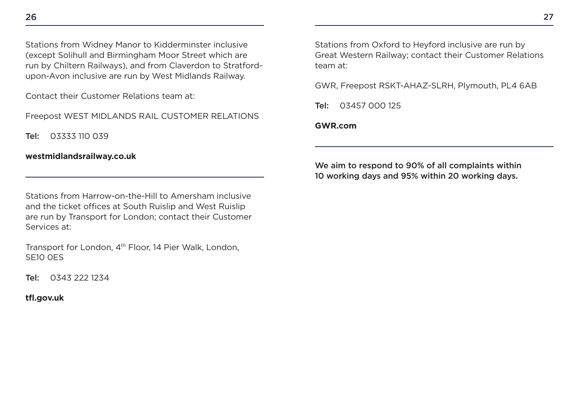Contact their Customer Relations team at:

Freepost WEST MIDLANDS RAIL CUSTOMER RELATIONS

Tel: 03333 110 039

**[westmidlandsrailway.co.uk](www.westmidlandsrailway.co.uk)** 

Stations from Harrow-on-the-Hill to Amersham inclusive and the ticket offices at South Ruislip and West Ruislip are run by Transport for London; contact their Customer Services at:

Transport for London, 4<sup>th</sup> Floor, 14 Pier Walk, London, SE10 0ES

Tel: 0343 222 1234

**[tf.gov.uk](www.tfl.gov.uk)** 

Stations from Oxford to Heyford inclusive are run by Great Western Railway; contact their Customer Relations team at:

GWR, Freepost RSKT-AHAZ-SLRH, Plymouth, PL4 6AB

Tel: 03457 000 125

#### **[GWR.com](www.GWR.com)**

We aim to respond to 90% of all complaints within 10 working days and 95% within 20 working days.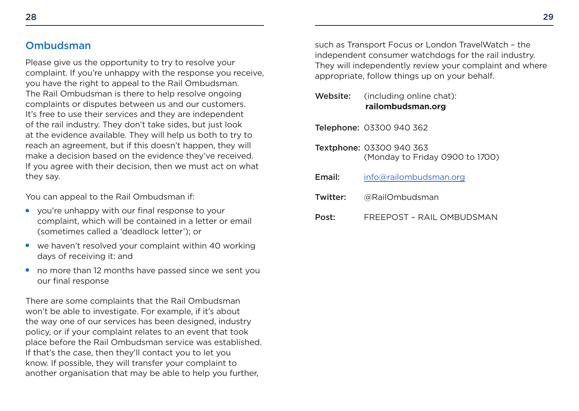#### <span id="page-15-0"></span>Ombudsman

Please give us the opportunity to try to resolve your complaint. If you're unhappy with the response you receive, you have the right to appeal to the Rail Ombudsman. The Rail Ombudsman is there to help resolve ongoing complaints or disputes between us and our customers. It's free to use their services and they are independent of the rail industry. They don't take sides, but just look at the evidence available. They will help us both to try to reach an agreement, but if this doesn't happen, they will make a decision based on the evidence they've received. If you agree with their decision, then we must act on what they say.

You can appeal to the Rail Ombudsman if:

- you're unhappy with our final response to your complaint, which will be contained in a letter or email (sometimes called a 'deadlock letter'); or
- we haven't resolved your complaint within 40 working days of receiving it: and
- no more than 12 months have passed since we sent you our final response

There are some complaints that the Rail Ombudsman won't be able to investigate. For example, if it's about the way one of our services has been designed, industry policy, or if your complaint relates to an event that took place before the Rail Ombudsman service was established. If that's the case, then they'll contact you to let you know. If possible, they will transfer your complaint to another organisation that may be able to help you further,

such as Transport Focus or London TravelWatch – the independent consumer watchdogs for the rail industry. They will independently review your complaint and where appropriate, follow things up on your behalf.

| Website: | (including online chat): |  |
|----------|--------------------------|--|
|          | railombudsman.org        |  |

Telephone: 03300 940 362

- Textphone: 03300 940 363 (Monday to Friday 0900 to 1700)
- Email: info@railombudsman.org
- Twitter: @RailOmbudsman
- Post: FREEPOST – RAIL OMBUDSMAN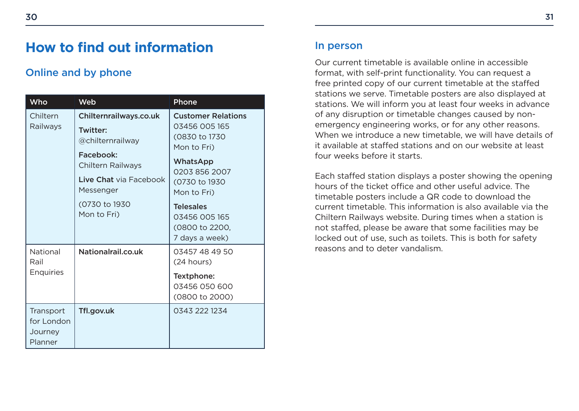## <span id="page-16-0"></span>**How to find out information**

#### Online and by phone

| Who                                           | <b>Web</b>                                                                                                                                                                     | Phone                                                                                                                                                                                                             |
|-----------------------------------------------|--------------------------------------------------------------------------------------------------------------------------------------------------------------------------------|-------------------------------------------------------------------------------------------------------------------------------------------------------------------------------------------------------------------|
| Chiltern<br>Railways                          | Chilternrailways.co.uk<br><b>Twitter:</b><br>@chilternrailway<br>Facebook:<br><b>Chiltern Railways</b><br>Live Chat via Facebook<br>Messenger<br>(0730 to 1930)<br>Mon to Fri) | <b>Customer Relations</b><br>03456 005 165<br>(0830 to 1730)<br>Mon to Fri)<br>WhatsApp<br>0203 856 2007<br>(0730 to 1930<br>Mon to Fri)<br><b>Telesales</b><br>03456 005 165<br>(0800 to 2200,<br>7 days a week) |
| National<br>Rail<br><b>Enquiries</b>          | Nationalrail.co.uk                                                                                                                                                             | 03457 48 49 50<br>(24 hours)<br>Textphone:<br>03456 050 600<br>(0800 to 2000)                                                                                                                                     |
| Transport<br>for London<br>Journey<br>Planner | Tfl.gov.uk                                                                                                                                                                     | 0343 222 1234                                                                                                                                                                                                     |

#### In person

Our current timetable is available online in accessible format, with self-print functionality. You can request a free printed copy of our current timetable at the stafed stations we serve. Timetable posters are also displayed at stations. We will inform you at least four weeks in advance of any disruption or timetable changes caused by nonemergency engineering works, or for any other reasons. When we introduce a new timetable, we will have details of it available at stafed stations and on our website at least four weeks before it starts.

Each stafed station displays a poster showing the opening hours of the ticket office and other useful advice. The timetable posters include a QR code to download the current timetable. This information is also available via the Chiltern Railways website. During times when a station is not stafed, please be aware that some facilities may be locked out of use, such as toilets. This is both for safety reasons and to deter vandalism.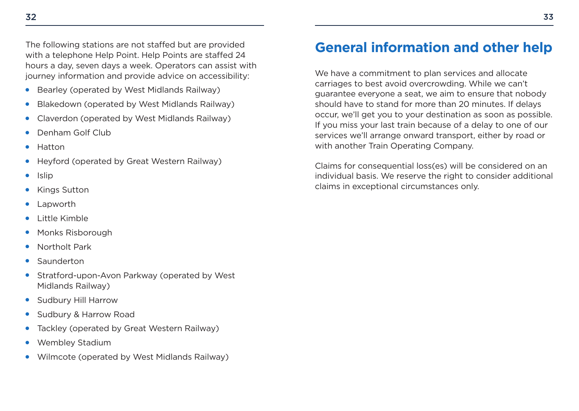<span id="page-17-0"></span>The following stations are not stafed but are provided with a telephone Help Point. Help Points are stafed 24 hours a day, seven days a week. Operators can assist with journey information and provide advice on accessibility:

- Bearley (operated by West Midlands Railway) ●
- Blakedown (operated by West Midlands Railway) ●
- Claverdon (operated by West Midlands Railway) ●
- Denham Golf Club ●
- Hatton  $\bullet$
- Heyford (operated by Great Western Railway) ●
- Islip  $\bullet$
- Kings Sutton ●
- Lapworth  $\bullet$
- Little Kimble ●
- Monks Risborough ●
- Northolt Park  $\bullet$
- Saunderton  $\bullet$
- Stratford-upon-Avon Parkway (operated by West Midlands Railway)
- Sudbury Hill Harrow ●
- Sudbury & Harrow Road ●
- Tackley (operated by Great Western Railway)  $\bullet$
- Wembley Stadium ●
- Wilmcote (operated by West Midlands Railway)  $\bullet$

## **General information and other help**

We have a commitment to plan services and allocate carriages to best avoid overcrowding. While we can't guarantee everyone a seat, we aim to ensure that nobody should have to stand for more than 20 minutes. If delays occur, we'll get you to your destination as soon as possible. If you miss your last train because of a delay to one of our services we'll arrange onward transport, either by road or with another Train Operating Company.

Claims for consequential loss(es) will be considered on an individual basis. We reserve the right to consider additional claims in exceptional circumstances only.